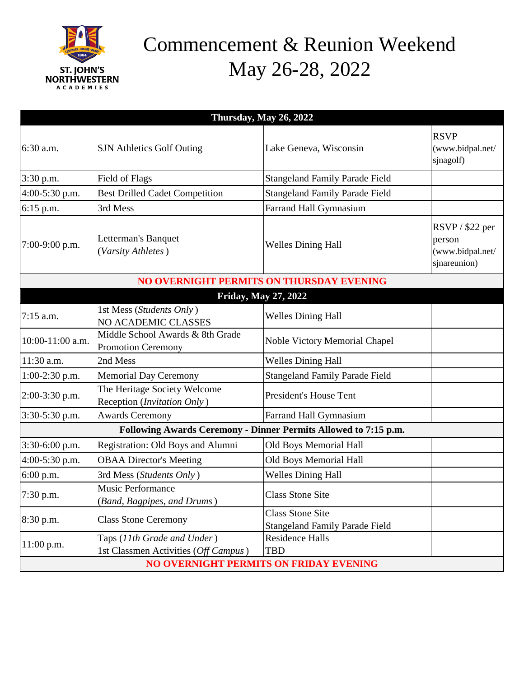

## Commencement & Reunion Weekend May 26-28, 2022

| Thursday, $\overline{\text{May 26, 2022}}$                      |                                                                     |                                                                  |                                                                |  |
|-----------------------------------------------------------------|---------------------------------------------------------------------|------------------------------------------------------------------|----------------------------------------------------------------|--|
| 6:30 a.m.                                                       | <b>SJN</b> Athletics Golf Outing                                    | Lake Geneva, Wisconsin                                           | <b>RSVP</b><br>(www.bidpal.net/<br>sjnagolf)                   |  |
| 3:30 p.m.                                                       | Field of Flags                                                      | <b>Stangeland Family Parade Field</b>                            |                                                                |  |
| 4:00-5:30 p.m.                                                  | <b>Best Drilled Cadet Competition</b>                               | <b>Stangeland Family Parade Field</b>                            |                                                                |  |
| 6:15 p.m.                                                       | 3rd Mess                                                            | Farrand Hall Gymnasium                                           |                                                                |  |
| 7:00-9:00 p.m.                                                  | Letterman's Banquet<br>(Varsity Athletes)                           | <b>Welles Dining Hall</b>                                        | $RSVP / $22$ per<br>person<br>(www.bidpal.net/<br>sjnareunion) |  |
| NO OVERNIGHT PERMITS ON THURSDAY EVENING                        |                                                                     |                                                                  |                                                                |  |
| <b>Friday, May 27, 2022</b>                                     |                                                                     |                                                                  |                                                                |  |
| $7:15$ a.m.                                                     | 1st Mess (Students Only)<br>NO ACADEMIC CLASSES                     | <b>Welles Dining Hall</b>                                        |                                                                |  |
| 10:00-11:00 a.m.                                                | Middle School Awards & 8th Grade<br><b>Promotion Ceremony</b>       | Noble Victory Memorial Chapel                                    |                                                                |  |
| 11:30 a.m.                                                      | 2nd Mess                                                            | <b>Welles Dining Hall</b>                                        |                                                                |  |
| 1:00-2:30 p.m.                                                  | <b>Memorial Day Ceremony</b>                                        | <b>Stangeland Family Parade Field</b>                            |                                                                |  |
| 2:00-3:30 p.m.                                                  | The Heritage Society Welcome<br>Reception (Invitation Only)         | <b>President's House Tent</b>                                    |                                                                |  |
| 3:30-5:30 p.m.                                                  | <b>Awards Ceremony</b>                                              | Farrand Hall Gymnasium                                           |                                                                |  |
| Following Awards Ceremony - Dinner Permits Allowed to 7:15 p.m. |                                                                     |                                                                  |                                                                |  |
| 3:30-6:00 p.m.                                                  | Registration: Old Boys and Alumni                                   | Old Boys Memorial Hall                                           |                                                                |  |
| 4:00-5:30 p.m.                                                  | <b>OBAA Director's Meeting</b>                                      | Old Boys Memorial Hall                                           |                                                                |  |
| 6:00 p.m.                                                       | 3rd Mess (Students Only)                                            | <b>Welles Dining Hall</b>                                        |                                                                |  |
| 7:30 p.m.                                                       | <b>Music Performance</b><br>(Band, Bagpipes, and Drums)             | <b>Class Stone Site</b>                                          |                                                                |  |
| 8:30 p.m.                                                       | <b>Class Stone Ceremony</b>                                         | <b>Class Stone Site</b><br><b>Stangeland Family Parade Field</b> |                                                                |  |
| $11:00$ p.m.                                                    | Taps (11th Grade and Under)<br>1st Classmen Activities (Off Campus) | <b>Residence Halls</b><br><b>TBD</b>                             |                                                                |  |
| <b>NO OVERNIGHT PERMITS ON FRIDAY EVENING</b>                   |                                                                     |                                                                  |                                                                |  |